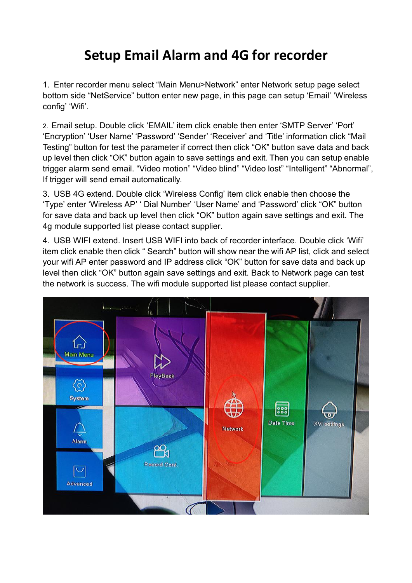## **Setup Email Alarm and 4G for recorder**

1. Enter recorder menu select "Main Menu>Network" enter Network setup page select bottom side "NetService" button enter new page, in this page can setup 'Email' 'Wireless config' 'Wifi'.

2. Email setup. Double click 'EMAIL' item click enable then enter 'SMTP Server' 'Port' 'Encryption' 'User Name' 'Password' 'Sender' 'Receiver' and 'Title' information click "Mail Testing" button for test the parameter if correct then click "OK" button save data and back up level then click "OK" button again to save settings and exit. Then you can setup enable trigger alarm send email. "Video motion" "Video blind" "Video lost" "Intelligent" "Abnormal", If trigger will send email automatically.

3. USB 4G extend. Double click 'Wireless Config' item click enable then choose the 'Type' enter 'Wireless AP' ' Dial Number' 'User Name' and 'Password' click "OK" button for save data and back up level then click "OK" button again save settings and exit. The 4g module supported list please contact supplier.

4. USB WIFI extend. Insert USB WIFI into back of recorder interface. Double click 'Wifi' item click enable then click " Search" button will show near the wifi AP list, click and select your wifi AP enter password and IP address click "OK" button for save data and back up level then click "OK" button again save settings and exit. Back to Network page can test the network is success. The wifi module supported list please contact supplier.

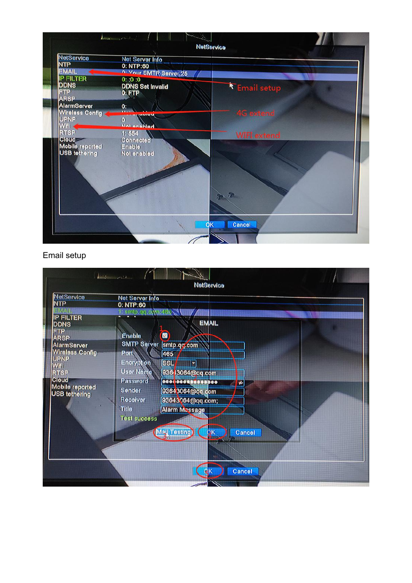| NetService                | Net Server Info         |                    |  |
|---------------------------|-------------------------|--------------------|--|
| <b>NTP</b>                | 0: NTP:60               |                    |  |
| <b>EMAIL</b>              | n. Vour SMTR Server:25  |                    |  |
| <b>IP FILTER</b>          | 0:0:0                   |                    |  |
| <b>DDNS</b>               | <b>DDNS Set Invalid</b> | Email setup        |  |
| <b>FTP</b><br><b>ARSP</b> | $0:$ FTP                |                    |  |
| AlarmServer               | 0:                      |                    |  |
| <b>Wireless Config</b>    |                         | <b>4G</b> extend   |  |
| <b>UPNP</b>               | $\omega$                |                    |  |
| Wifi -                    | <b>Not enghlad</b>      |                    |  |
| <b>RTSP</b>               | 1:554                   | <b>WIFI</b> extend |  |
| Cloud -                   | <b>Connected</b>        |                    |  |
| <b>Mobile reported</b>    | Enable                  |                    |  |
| <b>USB tethering</b>      | Not enabled             |                    |  |
|                           |                         |                    |  |
|                           |                         |                    |  |
|                           |                         |                    |  |
|                           |                         |                    |  |
|                           |                         | 5                  |  |
|                           |                         |                    |  |
|                           |                         |                    |  |
|                           |                         |                    |  |

## Email setup

| NetService<br><b>NTP</b>                                                                                                             | <b>Net Server Info</b><br>0: NTP:60                                                                   |                                                                         |  |
|--------------------------------------------------------------------------------------------------------------------------------------|-------------------------------------------------------------------------------------------------------|-------------------------------------------------------------------------|--|
| VM ATL<br><b>IP FILTER</b><br><b>DDNS</b><br><b>FTP</b>                                                                              | 1: smtp.qq.cm.r468                                                                                    | <b>EMAIL</b>                                                            |  |
| <b>ARSP</b><br>AlarmServer<br><b>Wireless Config</b><br><b>UPNP</b><br><b>Wifi</b><br><b>RTSP</b><br><b>Cloud</b><br>Mobile reported | Enable<br>SMTP Server <i>smtp.qq.com</i><br>Port<br><b>Encryption</b><br><b>User Name</b><br>Password | 図<br>465<br><b>SSL</b><br>$\mathbf{F}$<br>936-13064@qq.com<br>$\bullet$ |  |
| <b>USB</b> tethering                                                                                                                 | Sender<br>Receiver<br><b>Title</b><br><b>Test success</b>                                             | 93643064@qq.com<br>93643064@qq.com;<br><b>Alarm Message</b><br>Cancel   |  |
|                                                                                                                                      |                                                                                                       | May Testing                                                             |  |